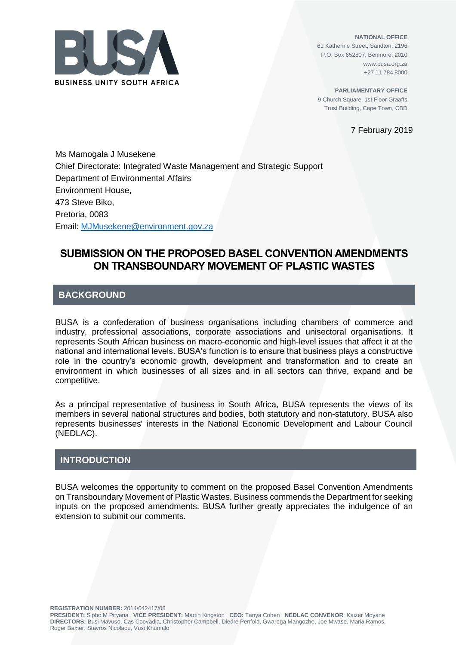

**NATIONAL OFFICE** 61 Katherine Street, Sandton, 2196 P.O. Box 652807, Benmore, 2010 www.busa.org.za +27 11 784 8000

**PARLIAMENTARY OFFICE** 9 Church Square, 1st Floor Graaffs Trust Building, Cape Town, CBD

7 February 2019

Ms Mamogala J Musekene Chief Directorate: Integrated Waste Management and Strategic Support Department of Environmental Affairs Environment House, 473 Steve Biko, Pretoria, 0083 Email: MJMusekene@environment.gov.za

## **SUBMISSION ON THE PROPOSED BASEL CONVENTION AMENDMENTS ON TRANSBOUNDARY MOVEMENT OF PLASTIC WASTES**

## **BACKGROUND**

BUSA is a confederation of business organisations including chambers of commerce and industry, professional associations, corporate associations and unisectoral organisations. It represents South African business on macro-economic and high-level issues that affect it at the national and international levels. BUSA's function is to ensure that business plays a constructive role in the country's economic growth, development and transformation and to create an environment in which businesses of all sizes and in all sectors can thrive, expand and be competitive.

As a principal representative of business in South Africa, BUSA represents the views of its members in several national structures and bodies, both statutory and non-statutory. BUSA also represents businesses' interests in the National Economic Development and Labour Council (NEDLAC).

## **INTRODUCTION**

BUSA welcomes the opportunity to comment on the proposed Basel Convention Amendments on Transboundary Movement of Plastic Wastes. Business commends the Department for seeking inputs on the proposed amendments. BUSA further greatly appreciates the indulgence of an extension to submit our comments.

**REGISTRATION NUMBER:** 2014/042417/08

**PRESIDENT:** Sipho M Pityana **VICE PRESIDENT:** Martin Kingston **CEO:** Tanya Cohen **NEDLAC CONVENOR**: Kaizer Moyane **DIRECTORS:** Busi Mavuso, Cas Coovadia, Christopher Campbell, Diedre Penfold, Gwarega Mangozhe, Joe Mwase, Maria Ramos, Roger Baxter, Stavros Nicolaou, Vusi Khumalo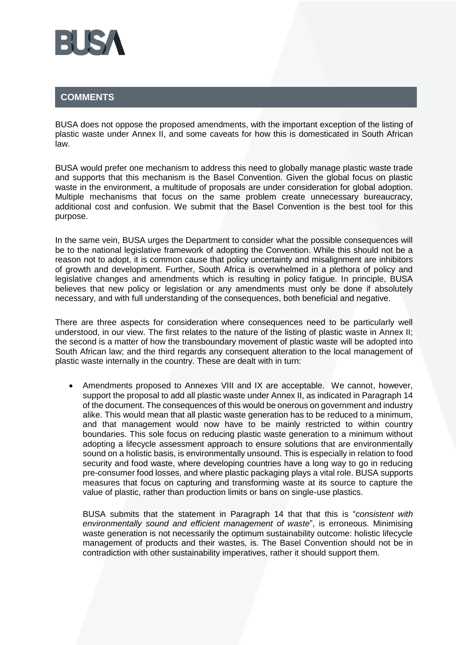

## **COMMENTS**

BUSA does not oppose the proposed amendments, with the important exception of the listing of plastic waste under Annex II, and some caveats for how this is domesticated in South African law.

BUSA would prefer one mechanism to address this need to globally manage plastic waste trade and supports that this mechanism is the Basel Convention. Given the global focus on plastic waste in the environment, a multitude of proposals are under consideration for global adoption. Multiple mechanisms that focus on the same problem create unnecessary bureaucracy, additional cost and confusion. We submit that the Basel Convention is the best tool for this purpose.

In the same vein, BUSA urges the Department to consider what the possible consequences will be to the national legislative framework of adopting the Convention. While this should not be a reason not to adopt, it is common cause that policy uncertainty and misalignment are inhibitors of growth and development. Further, South Africa is overwhelmed in a plethora of policy and legislative changes and amendments which is resulting in policy fatigue. In principle, BUSA believes that new policy or legislation or any amendments must only be done if absolutely necessary, and with full understanding of the consequences, both beneficial and negative.

There are three aspects for consideration where consequences need to be particularly well understood, in our view. The first relates to the nature of the listing of plastic waste in Annex II; the second is a matter of how the transboundary movement of plastic waste will be adopted into South African law; and the third regards any consequent alteration to the local management of plastic waste internally in the country. These are dealt with in turn:

• Amendments proposed to Annexes VIII and IX are acceptable. We cannot, however, support the proposal to add all plastic waste under Annex II, as indicated in Paragraph 14 of the document. The consequences of this would be onerous on government and industry alike. This would mean that all plastic waste generation has to be reduced to a minimum, and that management would now have to be mainly restricted to within country boundaries. This sole focus on reducing plastic waste generation to a minimum without adopting a lifecycle assessment approach to ensure solutions that are environmentally sound on a holistic basis, is environmentally unsound. This is especially in relation to food security and food waste, where developing countries have a long way to go in reducing pre-consumer food losses, and where plastic packaging plays a vital role. BUSA supports measures that focus on capturing and transforming waste at its source to capture the value of plastic, rather than production limits or bans on single-use plastics.

BUSA submits that the statement in Paragraph 14 that that this is "*consistent with environmentally sound and efficient management of waste*", is erroneous. Minimising waste generation is not necessarily the optimum sustainability outcome: holistic lifecycle management of products and their wastes, is. The Basel Convention should not be in contradiction with other sustainability imperatives, rather it should support them.